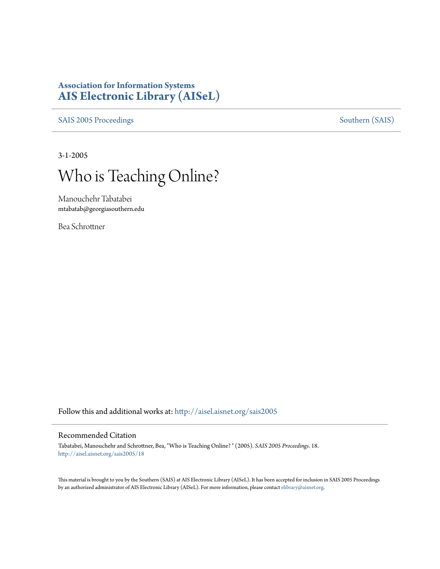# **Association for Information Systems [AIS Electronic Library \(AISeL\)](http://aisel.aisnet.org?utm_source=aisel.aisnet.org%2Fsais2005%2F18&utm_medium=PDF&utm_campaign=PDFCoverPages)**

[SAIS 2005 Proceedings](http://aisel.aisnet.org/sais2005?utm_source=aisel.aisnet.org%2Fsais2005%2F18&utm_medium=PDF&utm_campaign=PDFCoverPages) [Southern \(SAIS\)](http://aisel.aisnet.org/sais?utm_source=aisel.aisnet.org%2Fsais2005%2F18&utm_medium=PDF&utm_campaign=PDFCoverPages)

3-1-2005

# Who is Teaching Online?

Manouchehr Tabatabei mtabatab@georgiasouthern.edu

Bea Schrottner

Follow this and additional works at: [http://aisel.aisnet.org/sais2005](http://aisel.aisnet.org/sais2005?utm_source=aisel.aisnet.org%2Fsais2005%2F18&utm_medium=PDF&utm_campaign=PDFCoverPages)

#### Recommended Citation

Tabatabei, Manouchehr and Schrottner, Bea, "Who is Teaching Online? " (2005). *SAIS 2005 Proceedings*. 18. [http://aisel.aisnet.org/sais2005/18](http://aisel.aisnet.org/sais2005/18?utm_source=aisel.aisnet.org%2Fsais2005%2F18&utm_medium=PDF&utm_campaign=PDFCoverPages)

This material is brought to you by the Southern (SAIS) at AIS Electronic Library (AISeL). It has been accepted for inclusion in SAIS 2005 Proceedings by an authorized administrator of AIS Electronic Library (AISeL). For more information, please contact [elibrary@aisnet.org](mailto:elibrary@aisnet.org%3E).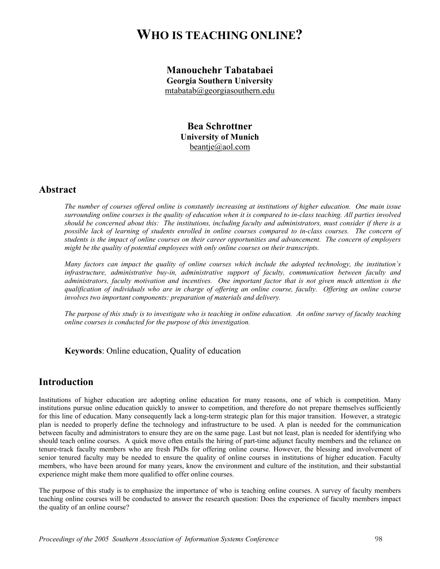# **WHO IS TEACHING ONLINE?**

**Manouchehr Tabatabaei Georgia Southern University**  [mtabatab@georgiasouthern.edu](mailto:mtabatab@georgiasouthern.edu)

> **Bea Schrottner University of Munich**  [beantje@aol.com](mailto:beantje@aol.com)

#### **Abstract**

*The number of courses offered online is constantly increasing at institutions of higher education. One main issue surrounding online courses is the quality of education when it is compared to in-class teaching. All parties involved should be concerned about this: The institutions, including faculty and administrators, must consider if there is a possible lack of learning of students enrolled in online courses compared to in-class courses. The concern of students is the impact of online courses on their career opportunities and advancement. The concern of employers might be the quality of potential employees with only online courses on their transcripts.* 

*Many factors can impact the quality of online courses which include the adopted technology, the institution's infrastructure, administrative buy-in, administrative support of faculty, communication between faculty and administrators, faculty motivation and incentives. One important factor that is not given much attention is the qualification of individuals who are in charge of offering an online course, faculty. Offering an online course involves two important components: preparation of materials and delivery.* 

*The purpose of this study is to investigate who is teaching in online education. An online survey of faculty teaching online courses is conducted for the purpose of this investigation.*

**Keywords**: Online education, Quality of education

#### **Introduction**

Institutions of higher education are adopting online education for many reasons, one of which is competition. Many institutions pursue online education quickly to answer to competition, and therefore do not prepare themselves sufficiently for this line of education. Many consequently lack a long-term strategic plan for this major transition. However, a strategic plan is needed to properly define the technology and infrastructure to be used. A plan is needed for the communication between faculty and administrators to ensure they are on the same page. Last but not least, plan is needed for identifying who should teach online courses. A quick move often entails the hiring of part-time adjunct faculty members and the reliance on tenure-track faculty members who are fresh PhDs for offering online course. However, the blessing and involvement of senior tenured faculty may be needed to ensure the quality of online courses in institutions of higher education. Faculty members, who have been around for many years, know the environment and culture of the institution, and their substantial experience might make them more qualified to offer online courses.

The purpose of this study is to emphasize the importance of who is teaching online courses. A survey of faculty members teaching online courses will be conducted to answer the research question: Does the experience of faculty members impact the quality of an online course?